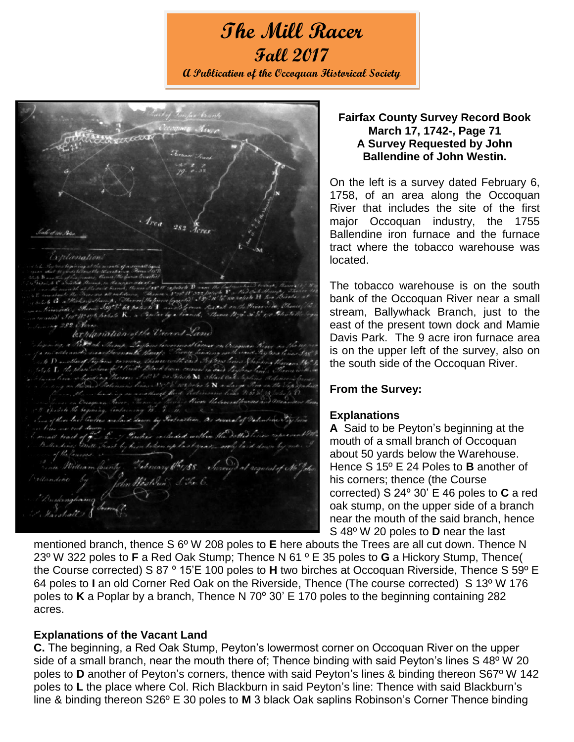# **The Mill Racer Fall 2017 A Publication of the Occoquan Historical Society**

 $282$ 

## **Fairfax County Survey Record Book March 17, 1742-, Page 71 A Survey Requested by John Ballendine of John Westin.**

On the left is a survey dated February 6, 1758, of an area along the Occoquan River that includes the site of the first major Occoquan industry, the 1755 Ballendine iron furnace and the furnace tract where the tobacco warehouse was located.

The tobacco warehouse is on the south bank of the Occoquan River near a small stream, Ballywhack Branch, just to the east of the present town dock and Mamie Davis Park. The 9 acre iron furnace area is on the upper left of the survey, also on the south side of the Occoquan River.

## **From the Survey:**

#### **Explanations**

**A** Said to be Peyton's beginning at the mouth of a small branch of Occoquan about 50 yards below the Warehouse. Hence S 15º E 24 Poles to **B** another of his corners; thence (the Course corrected) S 24º 30' E 46 poles to **C** a red oak stump, on the upper side of a branch near the mouth of the said branch, hence S 48º W 20 poles to **D** near the last

mentioned branch, thence S 6º W 208 poles to **E** here abouts the Trees are all cut down. Thence N 23º W 322 poles to **F** a Red Oak Stump; Thence N 61 º E 35 poles to **G** a Hickory Stump, Thence( the Course corrected) S 87 º 15'E 100 poles to **H** two birches at Occoquan Riverside, Thence S 59º E 64 poles to **I** an old Corner Red Oak on the Riverside, Thence (The course corrected) S 13º W 176 poles to **K** a Poplar by a branch, Thence N 70º 30' E 170 poles to the beginning containing 282 acres.

#### **Explanations of the Vacant Land**

**C.** The beginning, a Red Oak Stump, Peyton's lowermost corner on Occoquan River on the upper side of a small branch, near the mouth there of; Thence binding with said Peyton's lines S 48° W 20 poles to **D** another of Peyton's corners, thence with said Peyton's lines & binding thereon S67º W 142 poles to **L** the place where Col. Rich Blackburn in said Peyton's line: Thence with said Blackburn's line & binding thereon S26º E 30 poles to **M** 3 black Oak saplins Robinson's Corner Thence binding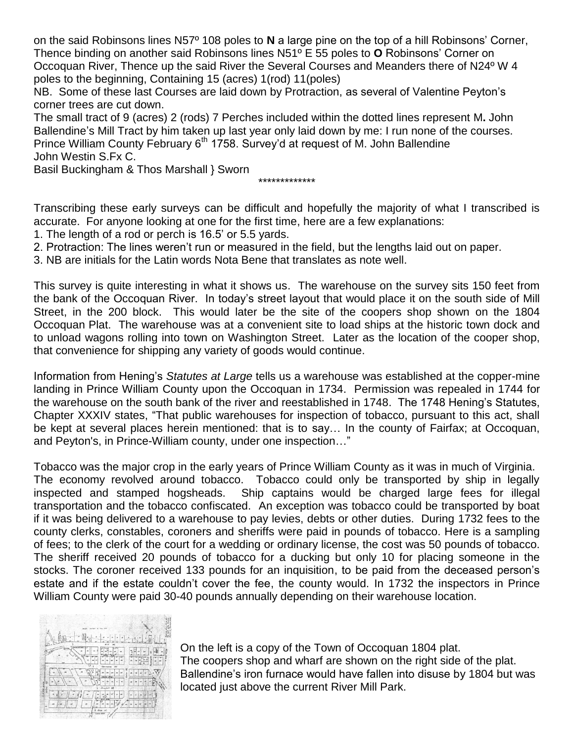on the said Robinsons lines N57º 108 poles to **N** a large pine on the top of a hill Robinsons' Corner, Thence binding on another said Robinsons lines N51º E 55 poles to **O** Robinsons' Corner on Occoquan River, Thence up the said River the Several Courses and Meanders there of N24º W 4 poles to the beginning, Containing 15 (acres) 1(rod) 11(poles)

NB. Some of these last Courses are laid down by Protraction, as several of Valentine Peyton's corner trees are cut down.

The small tract of 9 (acres) 2 (rods) 7 Perches included within the dotted lines represent M**.** John Ballendine's Mill Tract by him taken up last year only laid down by me: I run none of the courses. Prince William County February 6<sup>th</sup> 1758. Survey'd at request of M. John Ballendine John Westin S.Fx C.

Basil Buckingham & Thos Marshall } Sworn

\*\*\*\*\*\*\*\*\*\*\*\*\*

Transcribing these early surveys can be difficult and hopefully the majority of what I transcribed is accurate. For anyone looking at one for the first time, here are a few explanations:

- 1. The length of a rod or perch is 16.5' or 5.5 yards.
- 2. Protraction: The lines weren't run or measured in the field, but the lengths laid out on paper.

3. NB are initials for the Latin words Nota Bene that translates as note well.

This survey is quite interesting in what it shows us. The warehouse on the survey sits 150 feet from the bank of the Occoquan River. In today's street layout that would place it on the south side of Mill Street, in the 200 block. This would later be the site of the coopers shop shown on the 1804 Occoquan Plat. The warehouse was at a convenient site to load ships at the historic town dock and to unload wagons rolling into town on Washington Street. Later as the location of the cooper shop, that convenience for shipping any variety of goods would continue.

Information from Hening's *Statutes at Large* tells us a warehouse was established at the copper-mine landing in Prince William County upon the Occoquan in 1734. Permission was repealed in 1744 for the warehouse on the south bank of the river and reestablished in 1748. The 1748 Hening's Statutes, Chapter XXXIV states, "That public warehouses for inspection of tobacco, pursuant to this act, shall be kept at several places herein mentioned: that is to say… In the county of Fairfax; at Occoquan, and Peyton's, in Prince-William county, under one inspection…"

Tobacco was the major crop in the early years of Prince William County as it was in much of Virginia. The economy revolved around tobacco. Tobacco could only be transported by ship in legally inspected and stamped hogsheads. Ship captains would be charged large fees for illegal transportation and the tobacco confiscated. An exception was tobacco could be transported by boat if it was being delivered to a warehouse to pay levies, debts or other duties. During 1732 fees to the county clerks, constables, coroners and sheriffs were paid in pounds of tobacco. Here is a sampling of fees; to the clerk of the court for a wedding or ordinary license, the cost was 50 pounds of tobacco. The sheriff received 20 pounds of tobacco for a ducking but only 10 for placing someone in the stocks. The coroner received 133 pounds for an inquisition, to be paid from the deceased person's estate and if the estate couldn't cover the fee, the county would. In 1732 the inspectors in Prince William County were paid 30-40 pounds annually depending on their warehouse location.



On the left is a copy of the Town of Occoquan 1804 plat. The coopers shop and wharf are shown on the right side of the plat. Ballendine's iron furnace would have fallen into disuse by 1804 but was located just above the current River Mill Park.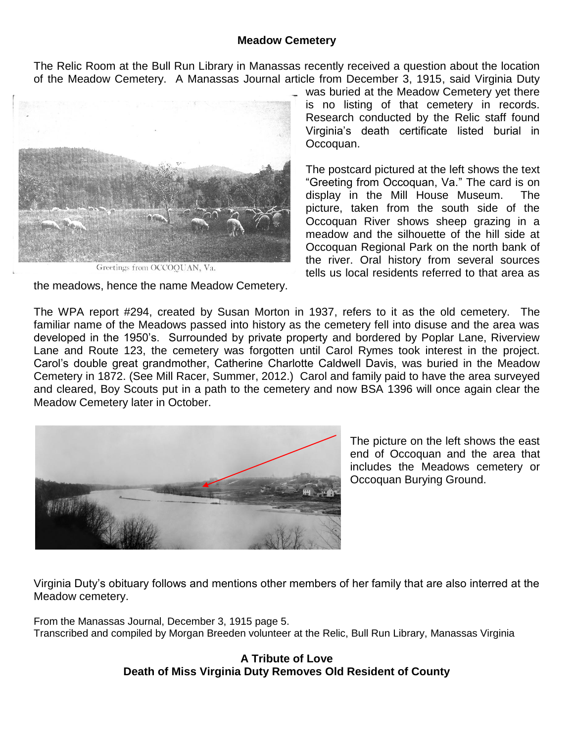#### **Meadow Cemetery**

The Relic Room at the Bull Run Library in Manassas recently received a question about the location of the Meadow Cemetery. A Manassas Journal article from December 3, 1915, said Virginia Duty



Greetings from OCCOOUAN, Va.

the meadows, hence the name Meadow Cemetery.

was buried at the Meadow Cemetery yet there is no listing of that cemetery in records. Research conducted by the Relic staff found Virginia's death certificate listed burial in Occoquan.

The postcard pictured at the left shows the text "Greeting from Occoquan, Va." The card is on display in the Mill House Museum. The picture, taken from the south side of the Occoquan River shows sheep grazing in a meadow and the silhouette of the hill side at Occoquan Regional Park on the north bank of the river. Oral history from several sources tells us local residents referred to that area as

The WPA report #294, created by Susan Morton in 1937, refers to it as the old cemetery. The familiar name of the Meadows passed into history as the cemetery fell into disuse and the area was developed in the 1950's. Surrounded by private property and bordered by Poplar Lane, Riverview Lane and Route 123, the cemetery was forgotten until Carol Rymes took interest in the project. Carol's double great grandmother, Catherine Charlotte Caldwell Davis, was buried in the Meadow Cemetery in 1872. (See Mill Racer, Summer, 2012.) Carol and family paid to have the area surveyed and cleared, Boy Scouts put in a path to the cemetery and now BSA 1396 will once again clear the Meadow Cemetery later in October.



The picture on the left shows the east end of Occoquan and the area that includes the Meadows cemetery or Occoquan Burying Ground.

Virginia Duty's obituary follows and mentions other members of her family that are also interred at the Meadow cemetery.

From the Manassas Journal, December 3, 1915 page 5. Transcribed and compiled by Morgan Breeden volunteer at the Relic, Bull Run Library, Manassas Virginia

## **A Tribute of Love Death of Miss Virginia Duty Removes Old Resident of County**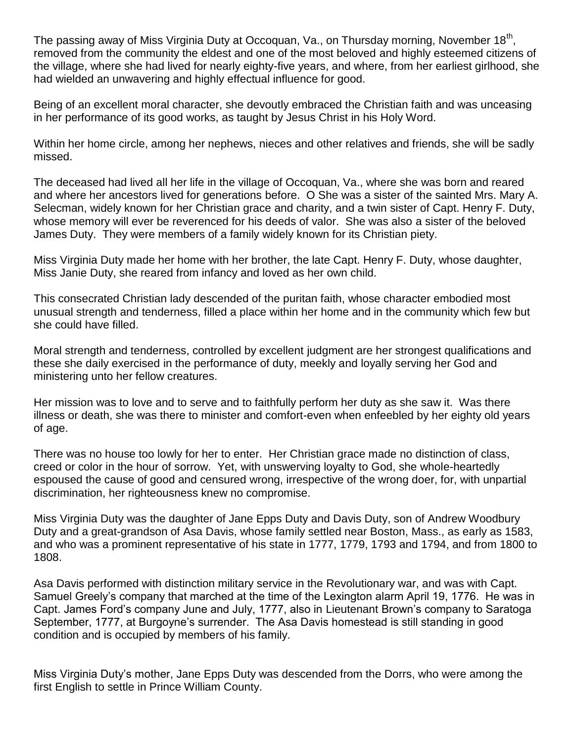The passing away of Miss Virginia Duty at Occoquan, Va., on Thursday morning, November 18<sup>th</sup>, removed from the community the eldest and one of the most beloved and highly esteemed citizens of the village, where she had lived for nearly eighty-five years, and where, from her earliest girlhood, she had wielded an unwavering and highly effectual influence for good.

Being of an excellent moral character, she devoutly embraced the Christian faith and was unceasing in her performance of its good works, as taught by Jesus Christ in his Holy Word.

Within her home circle, among her nephews, nieces and other relatives and friends, she will be sadly missed.

The deceased had lived all her life in the village of Occoquan, Va., where she was born and reared and where her ancestors lived for generations before. O She was a sister of the sainted Mrs. Mary A. Selecman, widely known for her Christian grace and charity, and a twin sister of Capt. Henry F. Duty, whose memory will ever be reverenced for his deeds of valor. She was also a sister of the beloved James Duty. They were members of a family widely known for its Christian piety.

Miss Virginia Duty made her home with her brother, the late Capt. Henry F. Duty, whose daughter, Miss Janie Duty, she reared from infancy and loved as her own child.

This consecrated Christian lady descended of the puritan faith, whose character embodied most unusual strength and tenderness, filled a place within her home and in the community which few but she could have filled.

Moral strength and tenderness, controlled by excellent judgment are her strongest qualifications and these she daily exercised in the performance of duty, meekly and loyally serving her God and ministering unto her fellow creatures.

Her mission was to love and to serve and to faithfully perform her duty as she saw it. Was there illness or death, she was there to minister and comfort-even when enfeebled by her eighty old years of age.

There was no house too lowly for her to enter. Her Christian grace made no distinction of class, creed or color in the hour of sorrow. Yet, with unswerving loyalty to God, she whole-heartedly espoused the cause of good and censured wrong, irrespective of the wrong doer, for, with unpartial discrimination, her righteousness knew no compromise.

Miss Virginia Duty was the daughter of Jane Epps Duty and Davis Duty, son of Andrew Woodbury Duty and a great-grandson of Asa Davis, whose family settled near Boston, Mass., as early as 1583, and who was a prominent representative of his state in 1777, 1779, 1793 and 1794, and from 1800 to 1808.

Asa Davis performed with distinction military service in the Revolutionary war, and was with Capt. Samuel Greely's company that marched at the time of the Lexington alarm April 19, 1776. He was in Capt. James Ford's company June and July, 1777, also in Lieutenant Brown's company to Saratoga September, 1777, at Burgoyne's surrender. The Asa Davis homestead is still standing in good condition and is occupied by members of his family.

Miss Virginia Duty's mother, Jane Epps Duty was descended from the Dorrs, who were among the first English to settle in Prince William County.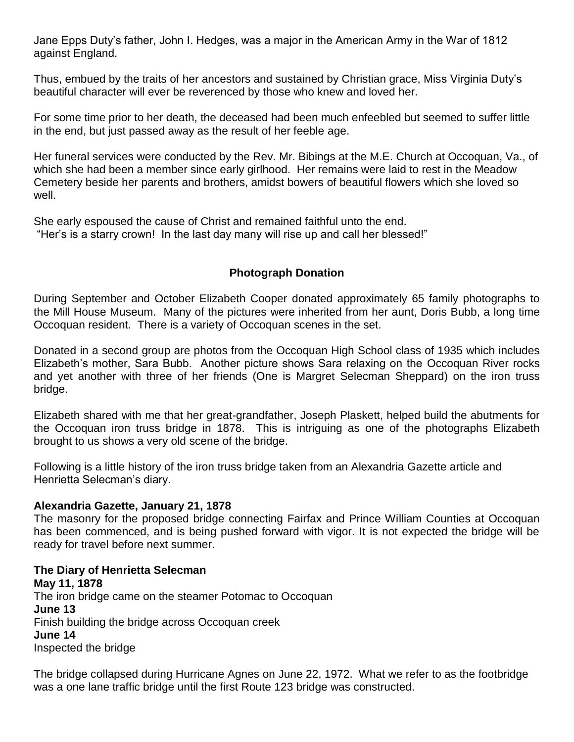Jane Epps Duty's father, John I. Hedges, was a major in the American Army in the War of 1812 against England.

Thus, embued by the traits of her ancestors and sustained by Christian grace, Miss Virginia Duty's beautiful character will ever be reverenced by those who knew and loved her.

For some time prior to her death, the deceased had been much enfeebled but seemed to suffer little in the end, but just passed away as the result of her feeble age.

Her funeral services were conducted by the Rev. Mr. Bibings at the M.E. Church at Occoquan, Va., of which she had been a member since early girlhood. Her remains were laid to rest in the Meadow Cemetery beside her parents and brothers, amidst bowers of beautiful flowers which she loved so well.

She early espoused the cause of Christ and remained faithful unto the end. "Her's is a starry crown! In the last day many will rise up and call her blessed!"

# **Photograph Donation**

During September and October Elizabeth Cooper donated approximately 65 family photographs to the Mill House Museum. Many of the pictures were inherited from her aunt, Doris Bubb, a long time Occoquan resident. There is a variety of Occoquan scenes in the set.

Donated in a second group are photos from the Occoquan High School class of 1935 which includes Elizabeth's mother, Sara Bubb. Another picture shows Sara relaxing on the Occoquan River rocks and yet another with three of her friends (One is Margret Selecman Sheppard) on the iron truss bridge.

Elizabeth shared with me that her great-grandfather, Joseph Plaskett, helped build the abutments for the Occoquan iron truss bridge in 1878. This is intriguing as one of the photographs Elizabeth brought to us shows a very old scene of the bridge.

Following is a little history of the iron truss bridge taken from an Alexandria Gazette article and Henrietta Selecman's diary.

#### **Alexandria Gazette, January 21, 1878**

The masonry for the proposed bridge connecting Fairfax and Prince William Counties at Occoquan has been commenced, and is being pushed forward with vigor. It is not expected the bridge will be ready for travel before next summer.

**The Diary of Henrietta Selecman May 11, 1878** The iron bridge came on the steamer Potomac to Occoquan **June 13** Finish building the bridge across Occoquan creek **June 14** Inspected the bridge

The bridge collapsed during Hurricane Agnes on June 22, 1972. What we refer to as the footbridge was a one lane traffic bridge until the first Route 123 bridge was constructed.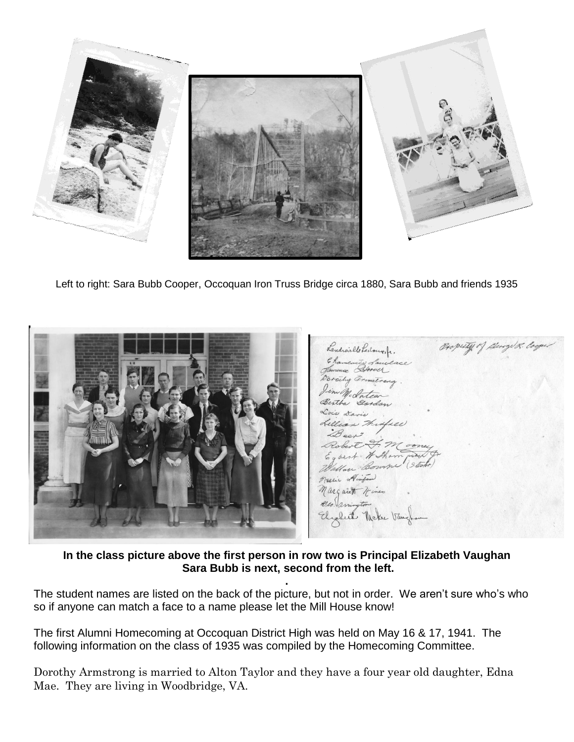

Left to right: Sara Bubb Cooper, Occoquan Iron Truss Bridge circa 1880, Sara Bubb and friends 1935

Property of George &. Con Landreille Ledoux, fr. Derachy armstrong. im Mc Intea Bertha Gordon Tilles it HSho Bown. Hinton nargaret  $\ell\ell_0$ but. Meke

**In the class picture above the first person in row two is Principal Elizabeth Vaughan Sara Bubb is next, second from the left.** 

**.**

The student names are listed on the back of the picture, but not in order. We aren't sure who's who so if anyone can match a face to a name please let the Mill House know!

The first Alumni Homecoming at Occoquan District High was held on May 16 & 17, 1941. The following information on the class of 1935 was compiled by the Homecoming Committee.

Dorothy Armstrong is married to Alton Taylor and they have a four year old daughter, Edna Mae. They are living in Woodbridge, VA.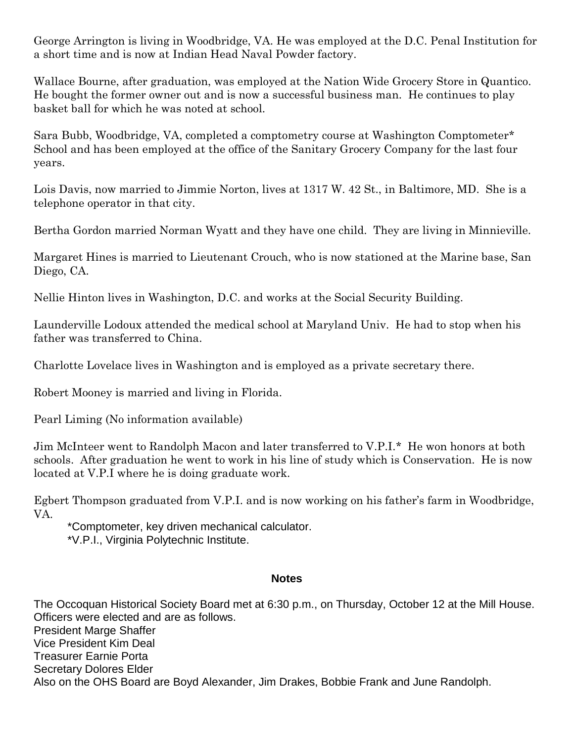George Arrington is living in Woodbridge, VA. He was employed at the D.C. Penal Institution for a short time and is now at Indian Head Naval Powder factory.

Wallace Bourne, after graduation, was employed at the Nation Wide Grocery Store in Quantico. He bought the former owner out and is now a successful business man. He continues to play basket ball for which he was noted at school.

Sara Bubb, Woodbridge, VA, completed a comptometry course at Washington Comptometer\* School and has been employed at the office of the Sanitary Grocery Company for the last four years.

Lois Davis, now married to Jimmie Norton, lives at 1317 W. 42 St., in Baltimore, MD. She is a telephone operator in that city.

Bertha Gordon married Norman Wyatt and they have one child. They are living in Minnieville.

Margaret Hines is married to Lieutenant Crouch, who is now stationed at the Marine base, San Diego, CA.

Nellie Hinton lives in Washington, D.C. and works at the Social Security Building.

Launderville Lodoux attended the medical school at Maryland Univ. He had to stop when his father was transferred to China.

Charlotte Lovelace lives in Washington and is employed as a private secretary there.

Robert Mooney is married and living in Florida.

Pearl Liming (No information available)

Jim McInteer went to Randolph Macon and later transferred to V.P.I.\* He won honors at both schools. After graduation he went to work in his line of study which is Conservation. He is now located at V.P.I where he is doing graduate work.

Egbert Thompson graduated from V.P.I. and is now working on his father's farm in Woodbridge, VA.

\*Comptometer, key driven mechanical calculator. \*V.P.I., Virginia Polytechnic Institute.

#### **Notes**

The Occoquan Historical Society Board met at 6:30 p.m., on Thursday, October 12 at the Mill House. Officers were elected and are as follows. President Marge Shaffer Vice President Kim Deal Treasurer Earnie Porta Secretary Dolores Elder Also on the OHS Board are Boyd Alexander, Jim Drakes, Bobbie Frank and June Randolph.